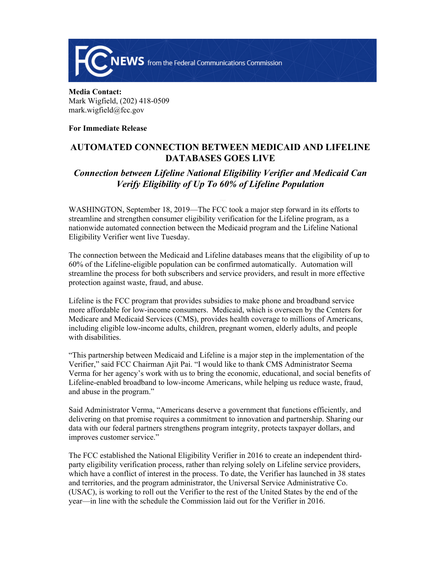

**Media Contact:**  Mark Wigfield, (202) 418-0509 mark.wigfield@fcc.gov

**For Immediate Release**

## **AUTOMATED CONNECTION BETWEEN MEDICAID AND LIFELINE DATABASES GOES LIVE**

## *Connection between Lifeline National Eligibility Verifier and Medicaid Can Verify Eligibility of Up To 60% of Lifeline Population*

WASHINGTON, September 18, 2019—The FCC took a major step forward in its efforts to streamline and strengthen consumer eligibility verification for the Lifeline program, as a nationwide automated connection between the Medicaid program and the Lifeline National Eligibility Verifier went live Tuesday.

The connection between the Medicaid and Lifeline databases means that the eligibility of up to 60% of the Lifeline-eligible population can be confirmed automatically. Automation will streamline the process for both subscribers and service providers, and result in more effective protection against waste, fraud, and abuse.

Lifeline is the FCC program that provides subsidies to make phone and broadband service more affordable for low-income consumers. Medicaid, which is overseen by the Centers for Medicare and Medicaid Services (CMS), provides health coverage to millions of Americans, including eligible low-income adults, children, pregnant women, elderly adults, and people with disabilities.

"This partnership between Medicaid and Lifeline is a major step in the implementation of the Verifier," said FCC Chairman Ajit Pai. "I would like to thank CMS Administrator Seema Verma for her agency's work with us to bring the economic, educational, and social benefits of Lifeline-enabled broadband to low-income Americans, while helping us reduce waste, fraud, and abuse in the program."

Said Administrator Verma, "Americans deserve a government that functions efficiently, and delivering on that promise requires a commitment to innovation and partnership. Sharing our data with our federal partners strengthens program integrity, protects taxpayer dollars, and improves customer service."

The FCC established the National Eligibility Verifier in 2016 to create an independent thirdparty eligibility verification process, rather than relying solely on Lifeline service providers, which have a conflict of interest in the process. To date, the Verifier has launched in 38 states and territories, and the program administrator, the Universal Service Administrative Co. (USAC), is working to roll out the Verifier to the rest of the United States by the end of the year—in line with the schedule the Commission laid out for the Verifier in 2016.